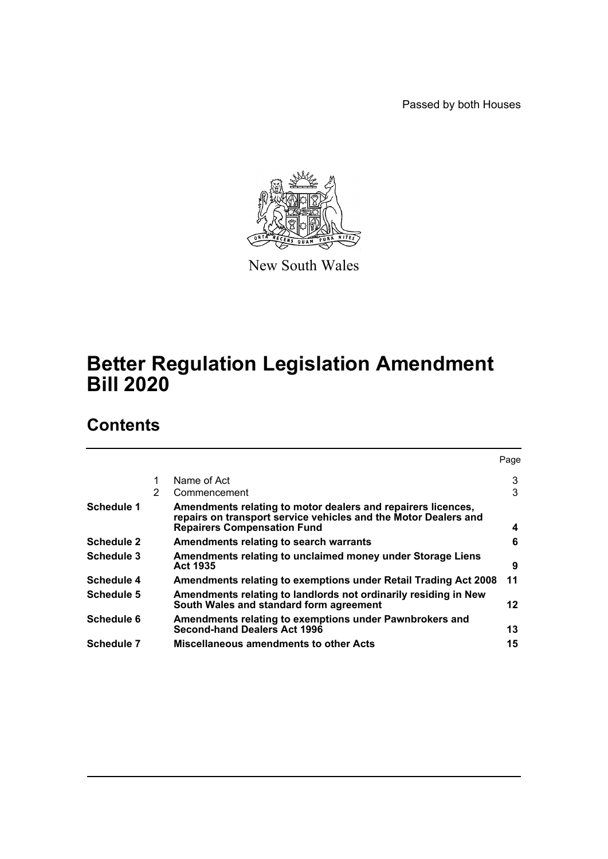Passed by both Houses



New South Wales

# **Better Regulation Legislation Amendment Bill 2020**

# **Contents**

|                   |   |                                                                                                                                                                       | Page |
|-------------------|---|-----------------------------------------------------------------------------------------------------------------------------------------------------------------------|------|
|                   |   | Name of Act                                                                                                                                                           | 3    |
|                   | 2 | Commencement                                                                                                                                                          | 3    |
| Schedule 1        |   | Amendments relating to motor dealers and repairers licences,<br>repairs on transport service vehicles and the Motor Dealers and<br><b>Repairers Compensation Fund</b> | 4    |
| <b>Schedule 2</b> |   | Amendments relating to search warrants                                                                                                                                | 6    |
| Schedule 3        |   | Amendments relating to unclaimed money under Storage Liens<br><b>Act 1935</b>                                                                                         | 9    |
| <b>Schedule 4</b> |   | Amendments relating to exemptions under Retail Trading Act 2008                                                                                                       | 11   |
| Schedule 5        |   | Amendments relating to landlords not ordinarily residing in New<br>South Wales and standard form agreement                                                            | 12   |
| Schedule 6        |   | Amendments relating to exemptions under Pawnbrokers and<br><b>Second-hand Dealers Act 1996</b>                                                                        | 13   |
| <b>Schedule 7</b> |   | Miscellaneous amendments to other Acts                                                                                                                                | 15   |
|                   |   |                                                                                                                                                                       |      |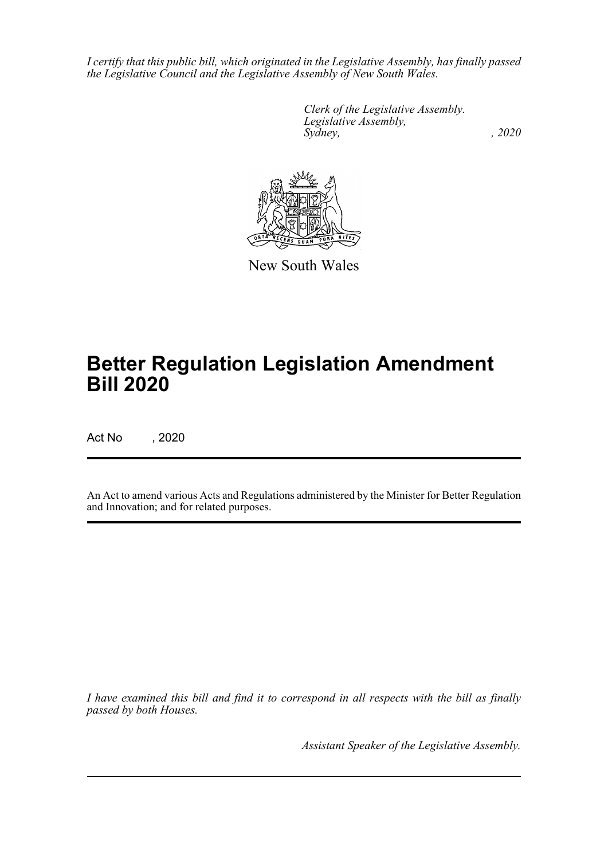*I certify that this public bill, which originated in the Legislative Assembly, has finally passed the Legislative Council and the Legislative Assembly of New South Wales.*

> *Clerk of the Legislative Assembly. Legislative Assembly, Sydney, , 2020*



New South Wales

# **Better Regulation Legislation Amendment Bill 2020**

Act No , 2020

An Act to amend various Acts and Regulations administered by the Minister for Better Regulation and Innovation; and for related purposes.

*I have examined this bill and find it to correspond in all respects with the bill as finally passed by both Houses.*

*Assistant Speaker of the Legislative Assembly.*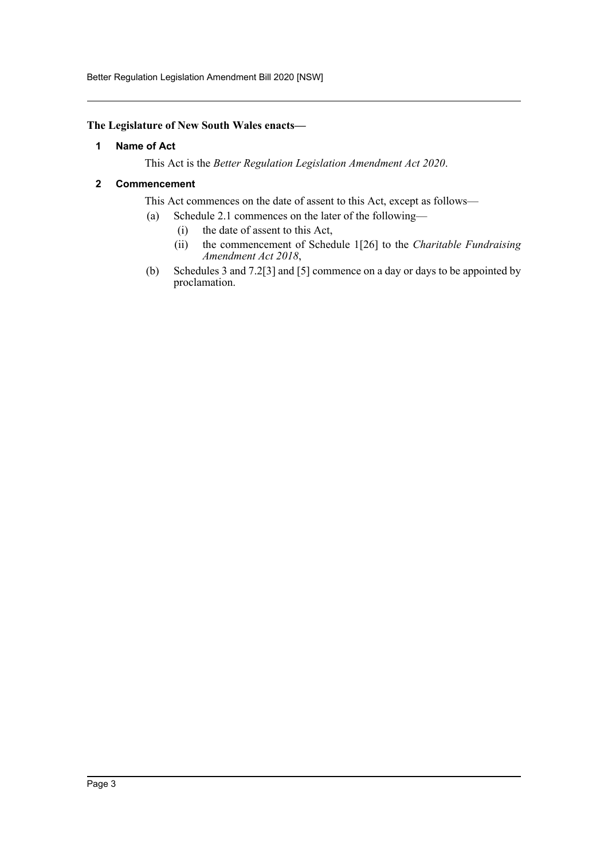Better Regulation Legislation Amendment Bill 2020 [NSW]

### <span id="page-2-0"></span>**The Legislature of New South Wales enacts—**

### **1 Name of Act**

This Act is the *Better Regulation Legislation Amendment Act 2020*.

### <span id="page-2-1"></span>**2 Commencement**

This Act commences on the date of assent to this Act, except as follows—

- (a) Schedule 2.1 commences on the later of the following—
	- (i) the date of assent to this Act,
	- (ii) the commencement of Schedule 1[26] to the *Charitable Fundraising Amendment Act 2018*,
- (b) Schedules 3 and 7.2[3] and [5] commence on a day or days to be appointed by proclamation.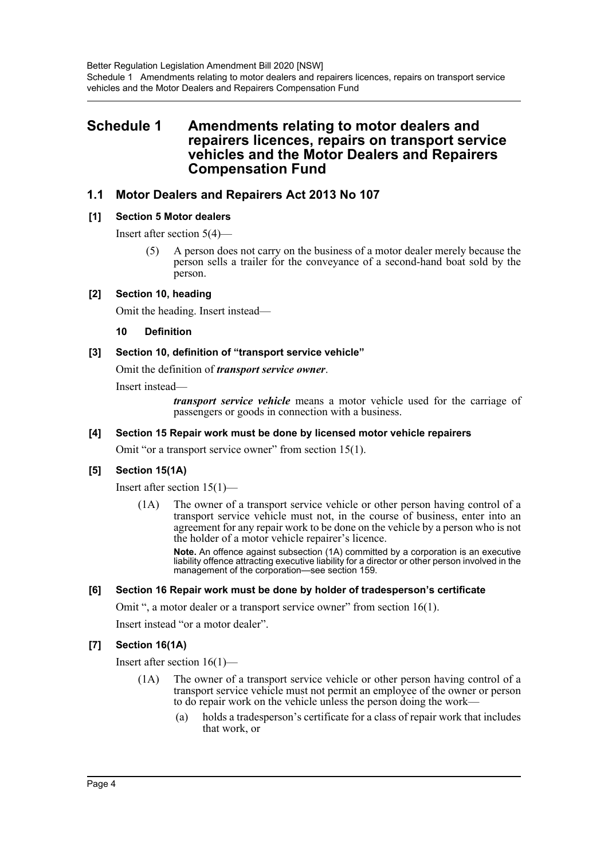### <span id="page-3-0"></span>**Schedule 1 Amendments relating to motor dealers and repairers licences, repairs on transport service vehicles and the Motor Dealers and Repairers Compensation Fund**

### **1.1 Motor Dealers and Repairers Act 2013 No 107**

### **[1] Section 5 Motor dealers**

Insert after section 5(4)—

(5) A person does not carry on the business of a motor dealer merely because the person sells a trailer for the conveyance of a second-hand boat sold by the person.

#### **[2] Section 10, heading**

Omit the heading. Insert instead—

#### **10 Definition**

### **[3] Section 10, definition of "transport service vehicle"**

Omit the definition of *transport service owner*.

Insert instead—

*transport service vehicle* means a motor vehicle used for the carriage of passengers or goods in connection with a business.

#### **[4] Section 15 Repair work must be done by licensed motor vehicle repairers**

Omit "or a transport service owner" from section 15(1).

### **[5] Section 15(1A)**

Insert after section 15(1)—

(1A) The owner of a transport service vehicle or other person having control of a transport service vehicle must not, in the course of business, enter into an agreement for any repair work to be done on the vehicle by a person who is not the holder of a motor vehicle repairer's licence.

**Note.** An offence against subsection (1A) committed by a corporation is an executive liability offence attracting executive liability for a director or other person involved in the management of the corporation—see section 159.

#### **[6] Section 16 Repair work must be done by holder of tradesperson's certificate**

Omit ", a motor dealer or a transport service owner" from section 16(1).

Insert instead "or a motor dealer".

#### **[7] Section 16(1A)**

Insert after section 16(1)—

- (1A) The owner of a transport service vehicle or other person having control of a transport service vehicle must not permit an employee of the owner or person to do repair work on the vehicle unless the person doing the work—
	- (a) holds a tradesperson's certificate for a class of repair work that includes that work, or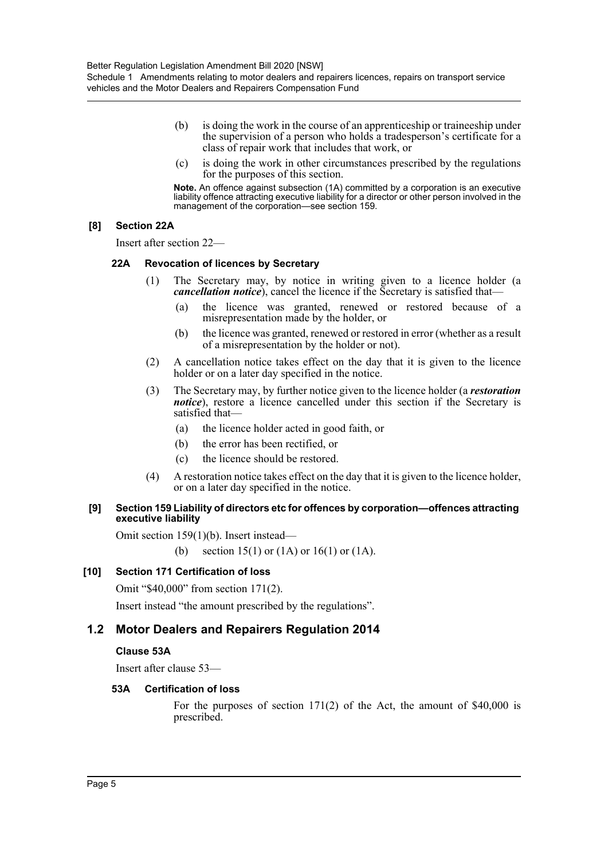- (b) is doing the work in the course of an apprenticeship or traineeship under the supervision of a person who holds a tradesperson's certificate for a class of repair work that includes that work, or
- (c) is doing the work in other circumstances prescribed by the regulations for the purposes of this section.

**Note.** An offence against subsection (1A) committed by a corporation is an executive liability offence attracting executive liability for a director or other person involved in the management of the corporation—see section 159.

### **[8] Section 22A**

Insert after section 22—

### **22A Revocation of licences by Secretary**

- (1) The Secretary may, by notice in writing given to a licence holder (a *cancellation notice*), cancel the licence if the Secretary is satisfied that—
	- (a) the licence was granted, renewed or restored because of a misrepresentation made by the holder, or
	- (b) the licence was granted, renewed or restored in error (whether as a result of a misrepresentation by the holder or not).
- (2) A cancellation notice takes effect on the day that it is given to the licence holder or on a later day specified in the notice.
- (3) The Secretary may, by further notice given to the licence holder (a *restoration notice*), restore a licence cancelled under this section if the Secretary is satisfied that—
	- (a) the licence holder acted in good faith, or
	- (b) the error has been rectified, or
	- (c) the licence should be restored.
- (4) A restoration notice takes effect on the day that it is given to the licence holder, or on a later day specified in the notice.

### **[9] Section 159 Liability of directors etc for offences by corporation—offences attracting executive liability**

Omit section 159(1)(b). Insert instead—

(b) section 15(1) or (1A) or 16(1) or (1A).

### **[10] Section 171 Certification of loss**

Omit "\$40,000" from section 171(2).

Insert instead "the amount prescribed by the regulations".

### **1.2 Motor Dealers and Repairers Regulation 2014**

### **Clause 53A**

Insert after clause 53—

### **53A Certification of loss**

For the purposes of section 171(2) of the Act, the amount of \$40,000 is prescribed.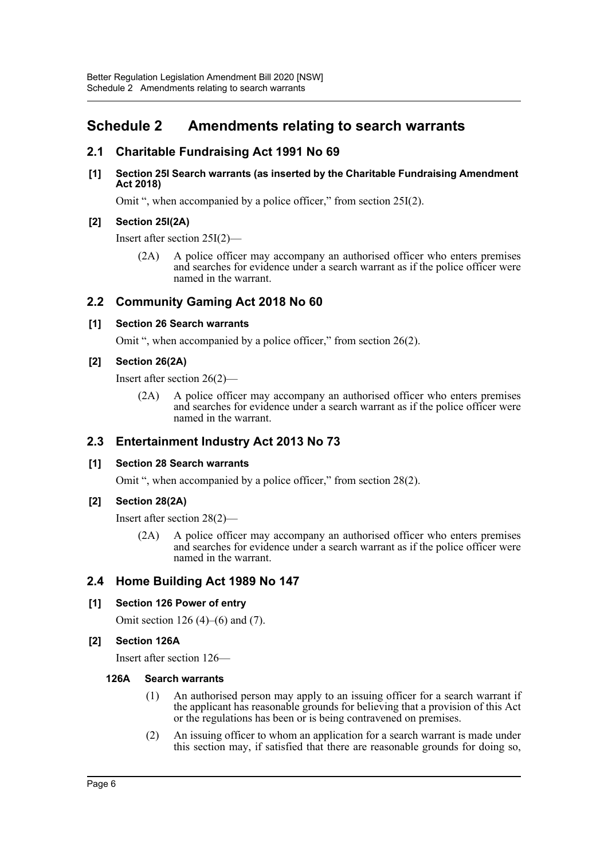# <span id="page-5-0"></span>**Schedule 2 Amendments relating to search warrants**

### **2.1 Charitable Fundraising Act 1991 No 69**

#### **[1] Section 25I Search warrants (as inserted by the Charitable Fundraising Amendment Act 2018)**

Omit ", when accompanied by a police officer," from section 25I(2).

### **[2] Section 25I(2A)**

Insert after section 25I(2)—

(2A) A police officer may accompany an authorised officer who enters premises and searches for evidence under a search warrant as if the police officer were named in the warrant.

### **2.2 Community Gaming Act 2018 No 60**

### **[1] Section 26 Search warrants**

Omit ", when accompanied by a police officer," from section 26(2).

### **[2] Section 26(2A)**

Insert after section 26(2)—

(2A) A police officer may accompany an authorised officer who enters premises and searches for evidence under a search warrant as if the police officer were named in the warrant.

### **2.3 Entertainment Industry Act 2013 No 73**

### **[1] Section 28 Search warrants**

Omit ", when accompanied by a police officer," from section 28(2).

### **[2] Section 28(2A)**

Insert after section 28(2)—

(2A) A police officer may accompany an authorised officer who enters premises and searches for evidence under a search warrant as if the police officer were named in the warrant.

### **2.4 Home Building Act 1989 No 147**

### **[1] Section 126 Power of entry**

Omit section 126 (4)–(6) and (7).

### **[2] Section 126A**

Insert after section 126—

#### **126A Search warrants**

- (1) An authorised person may apply to an issuing officer for a search warrant if the applicant has reasonable grounds for believing that a provision of this Act or the regulations has been or is being contravened on premises.
- (2) An issuing officer to whom an application for a search warrant is made under this section may, if satisfied that there are reasonable grounds for doing so,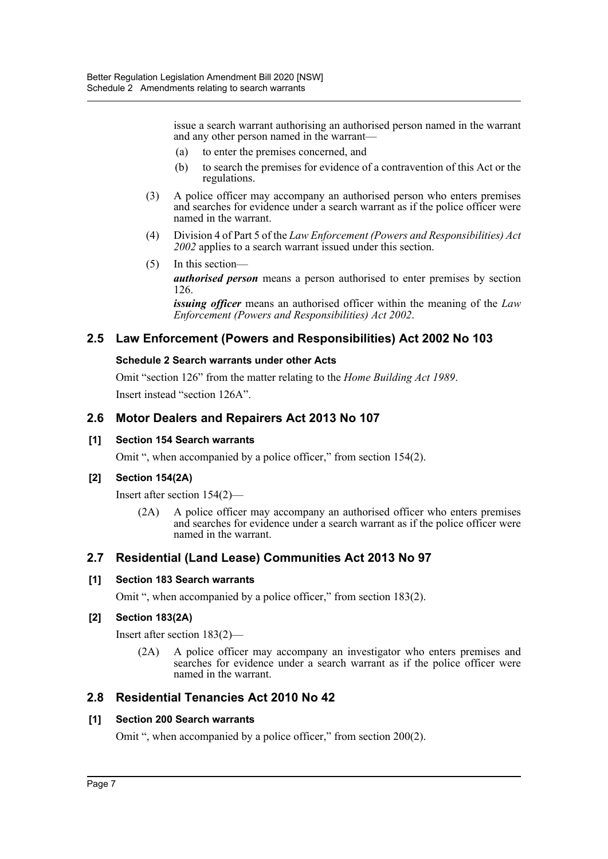issue a search warrant authorising an authorised person named in the warrant and any other person named in the warrant—

- (a) to enter the premises concerned, and
- (b) to search the premises for evidence of a contravention of this Act or the regulations.
- (3) A police officer may accompany an authorised person who enters premises and searches for evidence under a search warrant as if the police officer were named in the warrant.
- (4) Division 4 of Part 5 of the *Law Enforcement (Powers and Responsibilities) Act 2002* applies to a search warrant issued under this section.
- (5) In this section *authorised person* means a person authorised to enter premises by section 126.

*issuing officer* means an authorised officer within the meaning of the *Law Enforcement (Powers and Responsibilities) Act 2002*.

### **2.5 Law Enforcement (Powers and Responsibilities) Act 2002 No 103**

### **Schedule 2 Search warrants under other Acts**

Omit "section 126" from the matter relating to the *Home Building Act 1989*. Insert instead "section 126A".

### **2.6 Motor Dealers and Repairers Act 2013 No 107**

#### **[1] Section 154 Search warrants**

Omit ", when accompanied by a police officer," from section 154(2).

#### **[2] Section 154(2A)**

Insert after section 154(2)—

(2A) A police officer may accompany an authorised officer who enters premises and searches for evidence under a search warrant as if the police officer were named in the warrant.

### **2.7 Residential (Land Lease) Communities Act 2013 No 97**

#### **[1] Section 183 Search warrants**

Omit ", when accompanied by a police officer," from section 183(2).

### **[2] Section 183(2A)**

Insert after section 183(2)—

(2A) A police officer may accompany an investigator who enters premises and searches for evidence under a search warrant as if the police officer were named in the warrant.

### **2.8 Residential Tenancies Act 2010 No 42**

#### **[1] Section 200 Search warrants**

Omit ", when accompanied by a police officer," from section 200(2).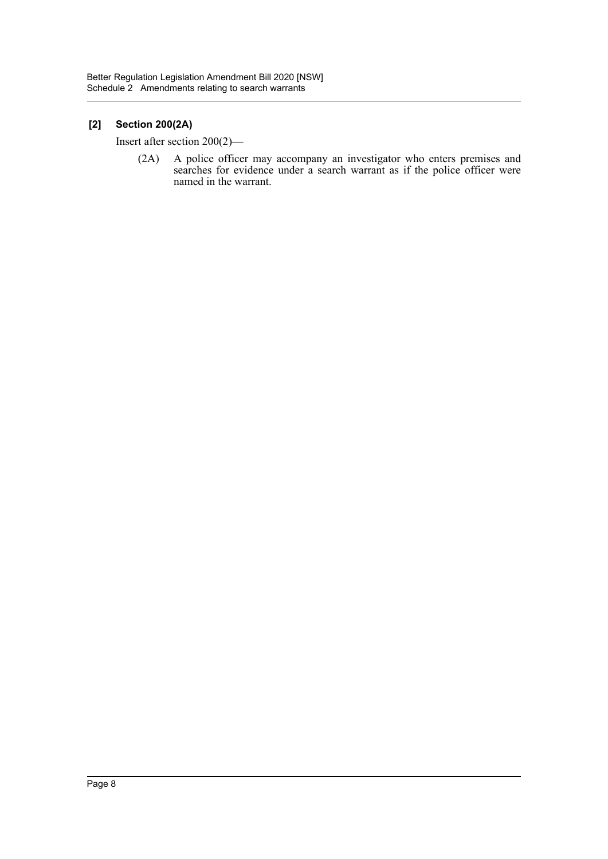### **[2] Section 200(2A)**

Insert after section 200(2)—

(2A) A police officer may accompany an investigator who enters premises and searches for evidence under a search warrant as if the police officer were named in the warrant.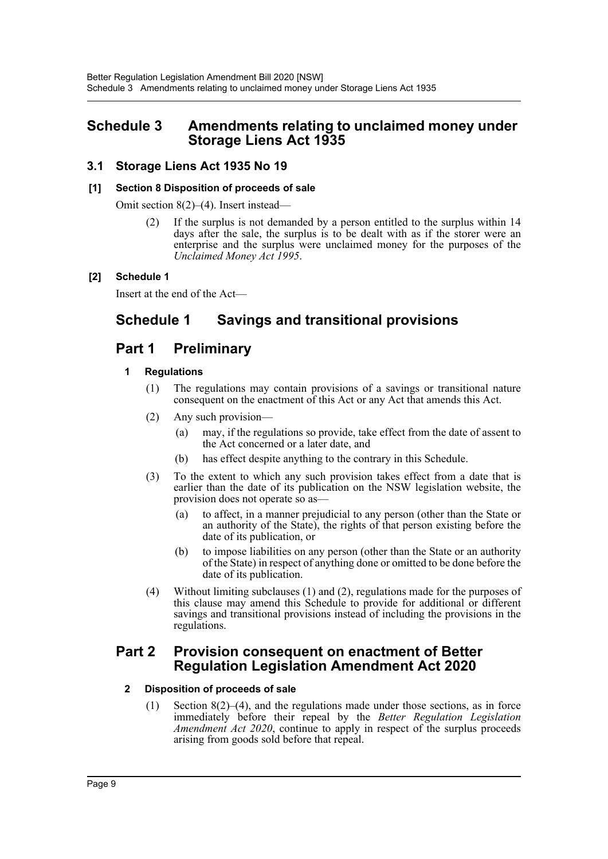### <span id="page-8-0"></span>**Schedule 3 Amendments relating to unclaimed money under Storage Liens Act 1935**

### **3.1 Storage Liens Act 1935 No 19**

### **[1] Section 8 Disposition of proceeds of sale**

Omit section 8(2)–(4). Insert instead—

(2) If the surplus is not demanded by a person entitled to the surplus within 14 days after the sale, the surplus is to be dealt with as if the storer were an enterprise and the surplus were unclaimed money for the purposes of the *Unclaimed Money Act 1995*.

### **[2] Schedule 1**

Insert at the end of the Act—

# **Schedule 1 Savings and transitional provisions**

# **Part 1 Preliminary**

### **1 Regulations**

- (1) The regulations may contain provisions of a savings or transitional nature consequent on the enactment of this Act or any Act that amends this Act.
- (2) Any such provision—
	- (a) may, if the regulations so provide, take effect from the date of assent to the Act concerned or a later date, and
	- (b) has effect despite anything to the contrary in this Schedule.
- (3) To the extent to which any such provision takes effect from a date that is earlier than the date of its publication on the NSW legislation website, the provision does not operate so as—
	- (a) to affect, in a manner prejudicial to any person (other than the State or an authority of the State), the rights of that person existing before the date of its publication, or
	- (b) to impose liabilities on any person (other than the State or an authority of the State) in respect of anything done or omitted to be done before the date of its publication.
- (4) Without limiting subclauses (1) and (2), regulations made for the purposes of this clause may amend this Schedule to provide for additional or different savings and transitional provisions instead of including the provisions in the regulations.

### **Part 2 Provision consequent on enactment of Better Regulation Legislation Amendment Act 2020**

### **2 Disposition of proceeds of sale**

(1) Section 8(2)–(4), and the regulations made under those sections, as in force immediately before their repeal by the *Better Regulation Legislation Amendment Act 2020*, continue to apply in respect of the surplus proceeds arising from goods sold before that repeal.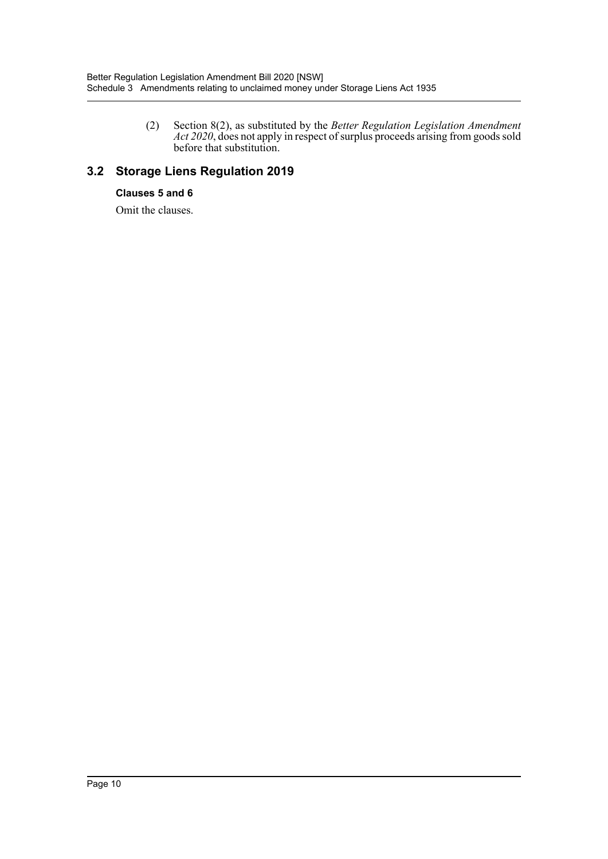(2) Section 8(2), as substituted by the *Better Regulation Legislation Amendment Act 2020*, does not apply in respect of surplus proceeds arising from goods sold before that substitution.

## **3.2 Storage Liens Regulation 2019**

### **Clauses 5 and 6**

Omit the clauses.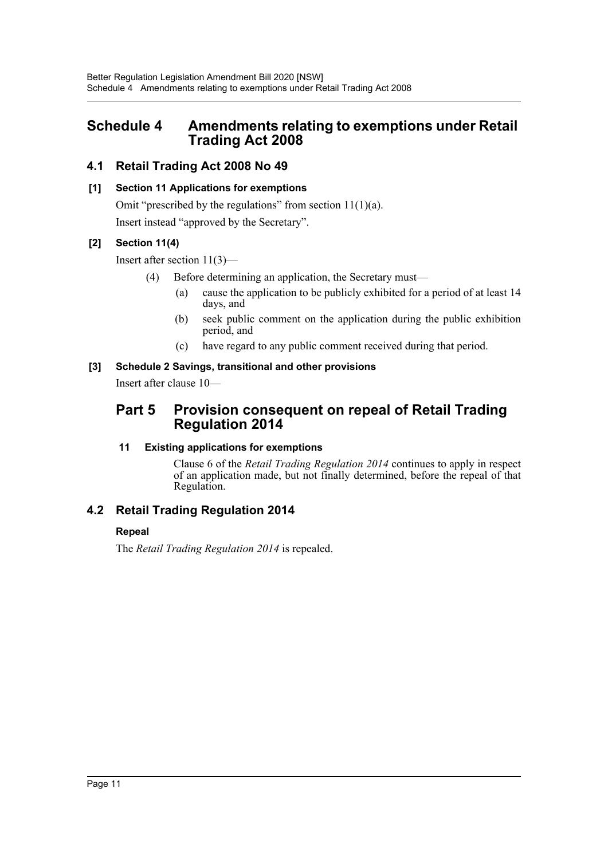# <span id="page-10-0"></span>**Schedule 4 Amendments relating to exemptions under Retail Trading Act 2008**

### **4.1 Retail Trading Act 2008 No 49**

### **[1] Section 11 Applications for exemptions**

Omit "prescribed by the regulations" from section  $11(1)(a)$ . Insert instead "approved by the Secretary".

### **[2] Section 11(4)**

Insert after section 11(3)—

- (4) Before determining an application, the Secretary must—
	- (a) cause the application to be publicly exhibited for a period of at least 14 days, and
	- (b) seek public comment on the application during the public exhibition period, and
	- (c) have regard to any public comment received during that period.

### **[3] Schedule 2 Savings, transitional and other provisions**

Insert after clause 10—

### **Part 5 Provision consequent on repeal of Retail Trading Regulation 2014**

### **11 Existing applications for exemptions**

Clause 6 of the *Retail Trading Regulation 2014* continues to apply in respect of an application made, but not finally determined, before the repeal of that Regulation.

### **4.2 Retail Trading Regulation 2014**

### **Repeal**

The *Retail Trading Regulation 2014* is repealed.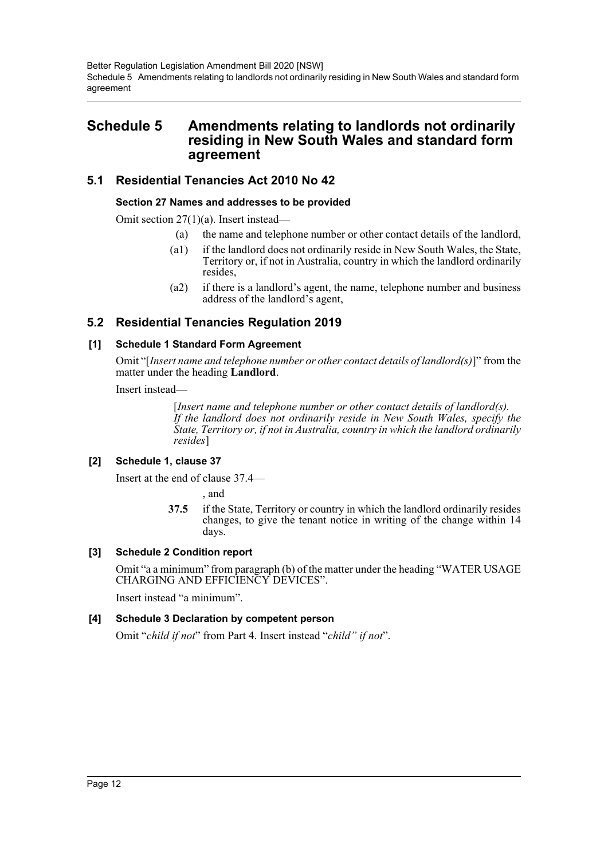# <span id="page-11-0"></span>**Schedule 5 Amendments relating to landlords not ordinarily residing in New South Wales and standard form agreement**

### **5.1 Residential Tenancies Act 2010 No 42**

### **Section 27 Names and addresses to be provided**

Omit section 27(1)(a). Insert instead—

- (a) the name and telephone number or other contact details of the landlord,
- (a1) if the landlord does not ordinarily reside in New South Wales, the State, Territory or, if not in Australia, country in which the landlord ordinarily resides,
- (a2) if there is a landlord's agent, the name, telephone number and business address of the landlord's agent,

### **5.2 Residential Tenancies Regulation 2019**

### **[1] Schedule 1 Standard Form Agreement**

Omit "[*Insert name and telephone number or other contact details of landlord(s)*]" from the matter under the heading **Landlord**.

Insert instead—

[*Insert name and telephone number or other contact details of landlord(s). If the landlord does not ordinarily reside in New South Wales, specify the State, Territory or, if not in Australia, country in which the landlord ordinarily resides*]

### **[2] Schedule 1, clause 37**

Insert at the end of clause 37.4—

, and

**37.5** if the State, Territory or country in which the landlord ordinarily resides changes, to give the tenant notice in writing of the change within 14 days.

### **[3] Schedule 2 Condition report**

Omit "a a minimum" from paragraph (b) of the matter under the heading "WATER USAGE CHARGING AND EFFICIENCY DEVICES".

Insert instead "a minimum".

### **[4] Schedule 3 Declaration by competent person**

Omit "*child if not*" from Part 4. Insert instead "*child" if not*".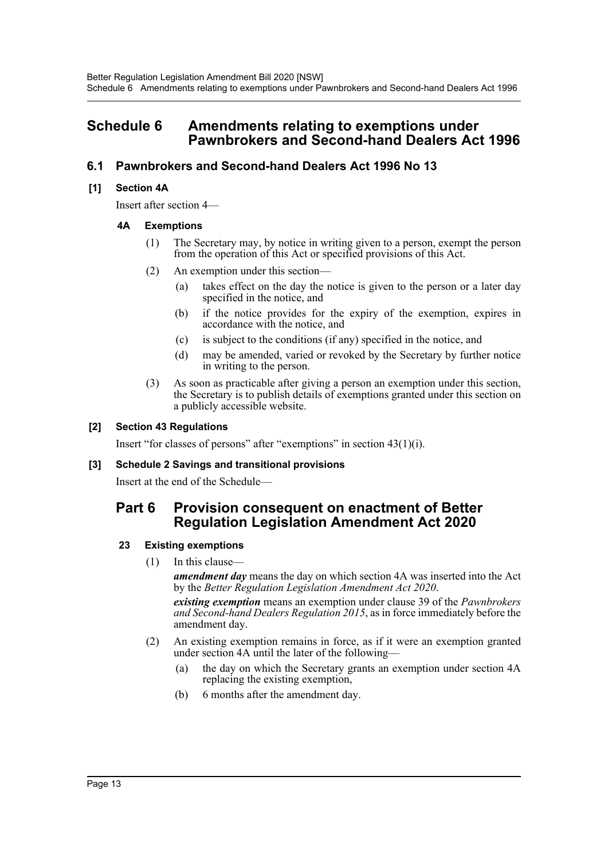## <span id="page-12-0"></span>**Schedule 6 Amendments relating to exemptions under Pawnbrokers and Second-hand Dealers Act 1996**

### **6.1 Pawnbrokers and Second-hand Dealers Act 1996 No 13**

### **[1] Section 4A**

Insert after section 4—

### **4A Exemptions**

- (1) The Secretary may, by notice in writing given to a person, exempt the person from the operation of this Act or specified provisions of this Act.
- (2) An exemption under this section—
	- (a) takes effect on the day the notice is given to the person or a later day specified in the notice, and
	- (b) if the notice provides for the expiry of the exemption, expires in accordance with the notice, and
	- (c) is subject to the conditions (if any) specified in the notice, and
	- (d) may be amended, varied or revoked by the Secretary by further notice in writing to the person.
- (3) As soon as practicable after giving a person an exemption under this section, the Secretary is to publish details of exemptions granted under this section on a publicly accessible website.

### **[2] Section 43 Regulations**

Insert "for classes of persons" after "exemptions" in section 43(1)(i).

#### **[3] Schedule 2 Savings and transitional provisions**

Insert at the end of the Schedule—

### **Part 6 Provision consequent on enactment of Better Regulation Legislation Amendment Act 2020**

### **23 Existing exemptions**

(1) In this clause—

*amendment day* means the day on which section 4A was inserted into the Act by the *Better Regulation Legislation Amendment Act 2020*.

*existing exemption* means an exemption under clause 39 of the *Pawnbrokers and Second-hand Dealers Regulation 2015*, as in force immediately before the amendment day.

- (2) An existing exemption remains in force, as if it were an exemption granted under section 4A until the later of the following—
	- (a) the day on which the Secretary grants an exemption under section 4A replacing the existing exemption,
	- (b) 6 months after the amendment day.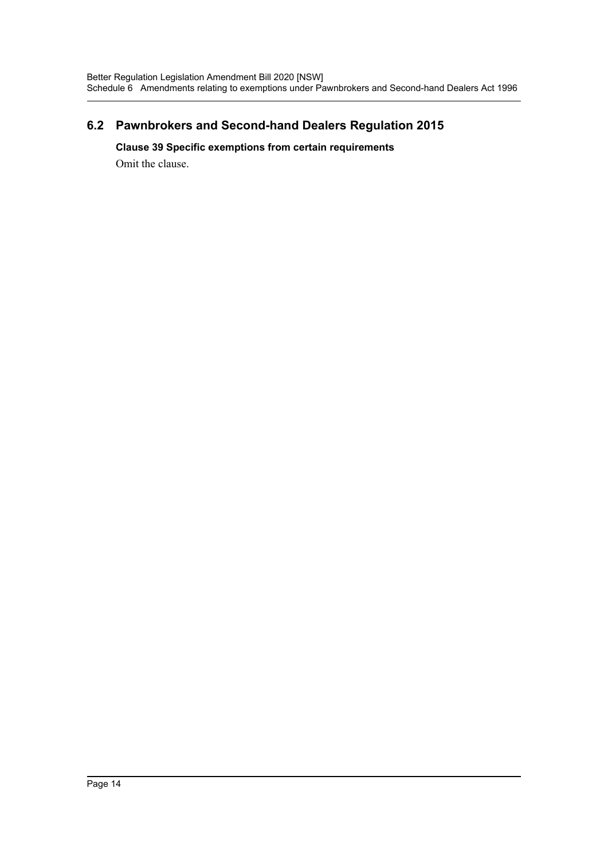### **6.2 Pawnbrokers and Second-hand Dealers Regulation 2015**

### **Clause 39 Specific exemptions from certain requirements**

Omit the clause.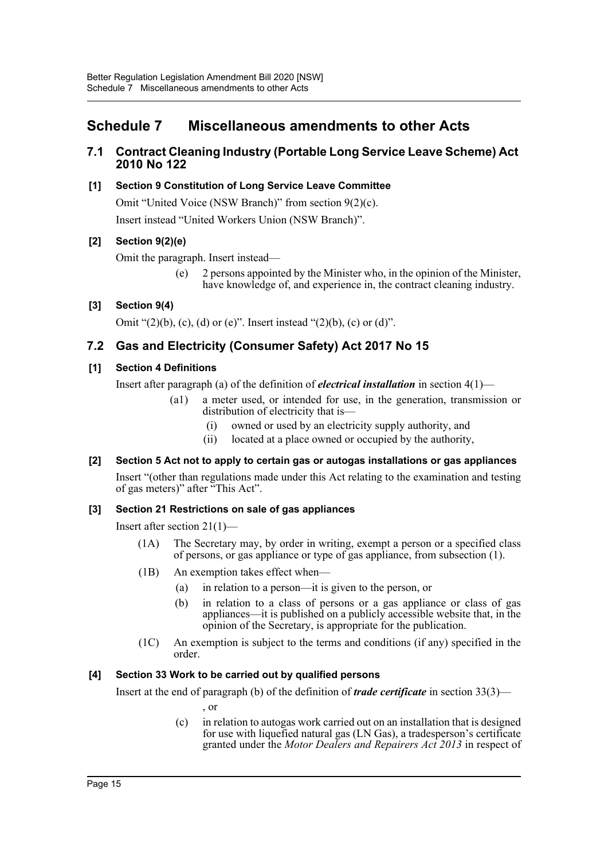# <span id="page-14-0"></span>**Schedule 7 Miscellaneous amendments to other Acts**

### **7.1 Contract Cleaning Industry (Portable Long Service Leave Scheme) Act 2010 No 122**

### **[1] Section 9 Constitution of Long Service Leave Committee**

Omit "United Voice (NSW Branch)" from section 9(2)(c). Insert instead "United Workers Union (NSW Branch)".

### **[2] Section 9(2)(e)**

Omit the paragraph. Insert instead—

(e) 2 persons appointed by the Minister who, in the opinion of the Minister, have knowledge of, and experience in, the contract cleaning industry.

### **[3] Section 9(4)**

Omit " $(2)(b)$ ,  $(c)$ ,  $(d)$  or  $(e)$ ". Insert instead " $(2)(b)$ ,  $(c)$  or  $(d)$ ".

### **7.2 Gas and Electricity (Consumer Safety) Act 2017 No 15**

### **[1] Section 4 Definitions**

Insert after paragraph (a) of the definition of *electrical installation* in section 4(1)—

- (a1) a meter used, or intended for use, in the generation, transmission or distribution of electricity that is—
	- (i) owned or used by an electricity supply authority, and
	- (ii) located at a place owned or occupied by the authority,

### **[2] Section 5 Act not to apply to certain gas or autogas installations or gas appliances**

Insert "(other than regulations made under this Act relating to the examination and testing of gas meters)" after "This Act".

### **[3] Section 21 Restrictions on sale of gas appliances**

Insert after section 21(1)—

- (1A) The Secretary may, by order in writing, exempt a person or a specified class of persons, or gas appliance or type of gas appliance, from subsection (1).
- (1B) An exemption takes effect when—
	- (a) in relation to a person—it is given to the person, or
	- (b) in relation to a class of persons or a gas appliance or class of gas appliances—it is published on a publicly accessible website that, in the opinion of the Secretary, is appropriate for the publication.
- (1C) An exemption is subject to the terms and conditions (if any) specified in the order.

### **[4] Section 33 Work to be carried out by qualified persons**

Insert at the end of paragraph (b) of the definition of *trade certificate* in section 33(3)—

, or

(c) in relation to autogas work carried out on an installation that is designed for use with liquefied natural gas (LN Gas), a tradesperson's certificate granted under the *Motor Dealers and Repairers Act 2013* in respect of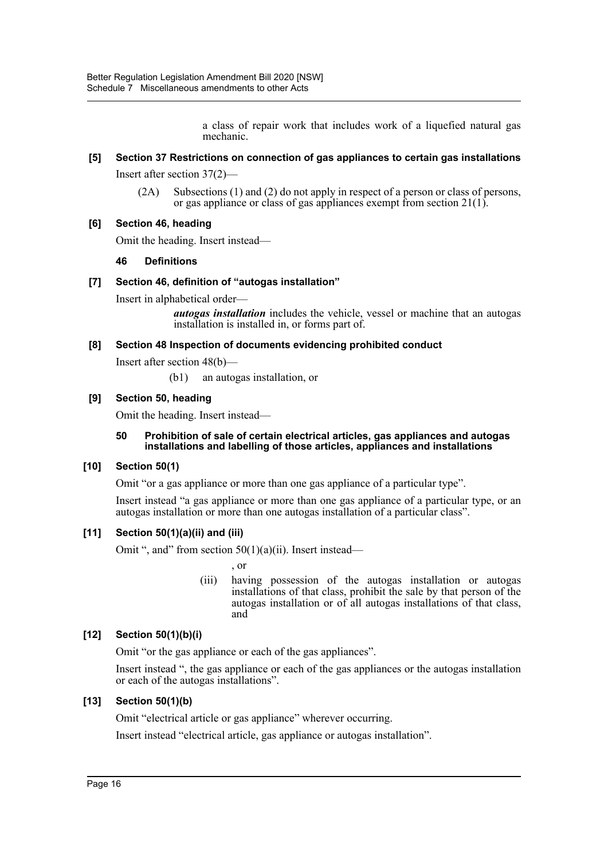a class of repair work that includes work of a liquefied natural gas mechanic.

### **[5] Section 37 Restrictions on connection of gas appliances to certain gas installations**

Insert after section 37(2)—

(2A) Subsections (1) and (2) do not apply in respect of a person or class of persons, or gas appliance or class of gas appliances exempt from section 21(1).

### **[6] Section 46, heading**

Omit the heading. Insert instead—

### **46 Definitions**

### **[7] Section 46, definition of "autogas installation"**

Insert in alphabetical order—

*autogas installation* includes the vehicle, vessel or machine that an autogas installation is installed in, or forms part of.

#### **[8] Section 48 Inspection of documents evidencing prohibited conduct**

Insert after section 48(b)—

(b1) an autogas installation, or

### **[9] Section 50, heading**

Omit the heading. Insert instead—

#### **50 Prohibition of sale of certain electrical articles, gas appliances and autogas installations and labelling of those articles, appliances and installations**

#### **[10] Section 50(1)**

Omit "or a gas appliance or more than one gas appliance of a particular type".

Insert instead "a gas appliance or more than one gas appliance of a particular type, or an autogas installation or more than one autogas installation of a particular class".

#### **[11] Section 50(1)(a)(ii) and (iii)**

Omit ", and" from section  $50(1)(a)(ii)$ . Insert instead—

, or

(iii) having possession of the autogas installation or autogas installations of that class, prohibit the sale by that person of the autogas installation or of all autogas installations of that class, and

### **[12] Section 50(1)(b)(i)**

Omit "or the gas appliance or each of the gas appliances".

Insert instead ", the gas appliance or each of the gas appliances or the autogas installation or each of the autogas installations".

### **[13] Section 50(1)(b)**

Omit "electrical article or gas appliance" wherever occurring.

Insert instead "electrical article, gas appliance or autogas installation".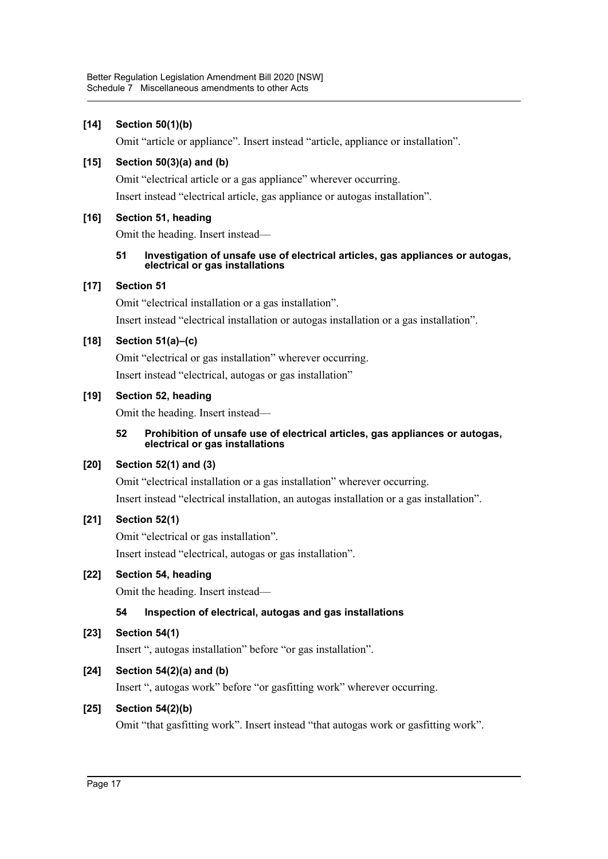### **[14] Section 50(1)(b)**

Omit "article or appliance". Insert instead "article, appliance or installation".

### **[15] Section 50(3)(a) and (b)**

Omit "electrical article or a gas appliance" wherever occurring.

Insert instead "electrical article, gas appliance or autogas installation".

### **[16] Section 51, heading**

Omit the heading. Insert instead—

#### **51 Investigation of unsafe use of electrical articles, gas appliances or autogas, electrical or gas installations**

### **[17] Section 51**

Omit "electrical installation or a gas installation". Insert instead "electrical installation or autogas installation or a gas installation".

### **[18] Section 51(a)–(c)**

Omit "electrical or gas installation" wherever occurring. Insert instead "electrical, autogas or gas installation"

### **[19] Section 52, heading**

Omit the heading. Insert instead—

#### **52 Prohibition of unsafe use of electrical articles, gas appliances or autogas, electrical or gas installations**

### **[20] Section 52(1) and (3)**

Omit "electrical installation or a gas installation" wherever occurring. Insert instead "electrical installation, an autogas installation or a gas installation".

### **[21] Section 52(1)**

Omit "electrical or gas installation".

Insert instead "electrical, autogas or gas installation".

### **[22] Section 54, heading**

Omit the heading. Insert instead—

### **54 Inspection of electrical, autogas and gas installations**

### **[23] Section 54(1)**

Insert ", autogas installation" before "or gas installation".

### **[24] Section 54(2)(a) and (b)**

Insert ", autogas work" before "or gasfitting work" wherever occurring.

### **[25] Section 54(2)(b)**

Omit "that gasfitting work". Insert instead "that autogas work or gasfitting work".